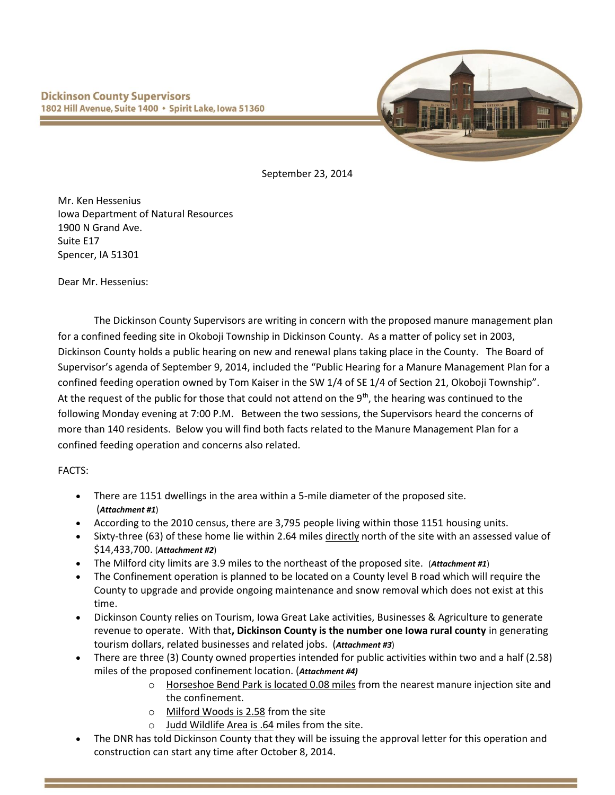

September 23, 2014

Mr. Ken Hessenius Iowa Department of Natural Resources 1900 N Grand Ave. Suite E17 Spencer, IA 51301

Dear Mr. Hessenius:

The Dickinson County Supervisors are writing in concern with the proposed manure management plan for a confined feeding site in Okoboji Township in Dickinson County. As a matter of policy set in 2003, Dickinson County holds a public hearing on new and renewal plans taking place in the County. The Board of Supervisor's agenda of September 9, 2014, included the "Public Hearing for a Manure Management Plan for a confined feeding operation owned by Tom Kaiser in the SW 1/4 of SE 1/4 of Section 21, Okoboji Township". At the request of the public for those that could not attend on the  $9<sup>th</sup>$ , the hearing was continued to the following Monday evening at 7:00 P.M. Between the two sessions, the Supervisors heard the concerns of more than 140 residents. Below you will find both facts related to the Manure Management Plan for a confined feeding operation and concerns also related.

FACTS:

- There are 1151 dwellings in the area within a 5-mile diameter of the proposed site. (*Attachment #1*)
- According to the 2010 census, there are 3,795 people living within those 1151 housing units.
- Sixty-three (63) of these home lie within 2.64 miles directly north of the site with an assessed value of \$14,433,700. (*Attachment #2*)
- The Milford city limits are 3.9 miles to the northeast of the proposed site. (*Attachment #1*)
- The Confinement operation is planned to be located on a County level B road which will require the County to upgrade and provide ongoing maintenance and snow removal which does not exist at this time.
- Dickinson County relies on Tourism, Iowa Great Lake activities, Businesses & Agriculture to generate revenue to operate. With that**, Dickinson County is the number one Iowa rural county** in generating tourism dollars, related businesses and related jobs. (*Attachment #3*)
- There are three (3) County owned properties intended for public activities within two and a half (2.58) miles of the proposed confinement location. (*Attachment #4)*
	- o Horseshoe Bend Park is located 0.08 miles from the nearest manure injection site and the confinement.
	- o Milford Woods is 2.58 from the site
	- o Judd Wildlife Area is .64 miles from the site.
- The DNR has told Dickinson County that they will be issuing the approval letter for this operation and construction can start any time after October 8, 2014.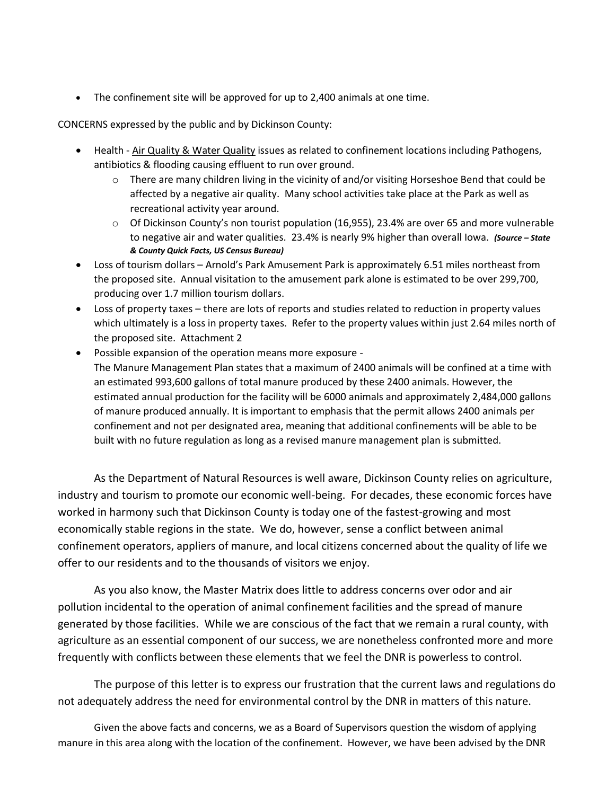The confinement site will be approved for up to 2,400 animals at one time.

CONCERNS expressed by the public and by Dickinson County:

- Health Air Quality & Water Quality issues as related to confinement locations including Pathogens, antibiotics & flooding causing effluent to run over ground.
	- $\circ$  There are many children living in the vicinity of and/or visiting Horseshoe Bend that could be affected by a negative air quality. Many school activities take place at the Park as well as recreational activity year around.
	- $\circ$  Of Dickinson County's non tourist population (16,955), 23.4% are over 65 and more vulnerable to negative air and water qualities. 23.4% is nearly 9% higher than overall Iowa. *(Source – State & County Quick Facts, US Census Bureau)*
- Loss of tourism dollars Arnold's Park Amusement Park is approximately 6.51 miles northeast from the proposed site. Annual visitation to the amusement park alone is estimated to be over 299,700, producing over 1.7 million tourism dollars.
- Loss of property taxes there are lots of reports and studies related to reduction in property values which ultimately is a loss in property taxes. Refer to the property values within just 2.64 miles north of the proposed site. Attachment 2
- Possible expansion of the operation means more exposure The Manure Management Plan states that a maximum of 2400 animals will be confined at a time with an estimated 993,600 gallons of total manure produced by these 2400 animals. However, the estimated annual production for the facility will be 6000 animals and approximately 2,484,000 gallons of manure produced annually. It is important to emphasis that the permit allows 2400 animals per confinement and not per designated area, meaning that additional confinements will be able to be built with no future regulation as long as a revised manure management plan is submitted.

As the Department of Natural Resources is well aware, Dickinson County relies on agriculture, industry and tourism to promote our economic well-being. For decades, these economic forces have worked in harmony such that Dickinson County is today one of the fastest-growing and most economically stable regions in the state. We do, however, sense a conflict between animal confinement operators, appliers of manure, and local citizens concerned about the quality of life we offer to our residents and to the thousands of visitors we enjoy.

As you also know, the Master Matrix does little to address concerns over odor and air pollution incidental to the operation of animal confinement facilities and the spread of manure generated by those facilities. While we are conscious of the fact that we remain a rural county, with agriculture as an essential component of our success, we are nonetheless confronted more and more frequently with conflicts between these elements that we feel the DNR is powerless to control.

The purpose of this letter is to express our frustration that the current laws and regulations do not adequately address the need for environmental control by the DNR in matters of this nature.

Given the above facts and concerns, we as a Board of Supervisors question the wisdom of applying manure in this area along with the location of the confinement. However, we have been advised by the DNR